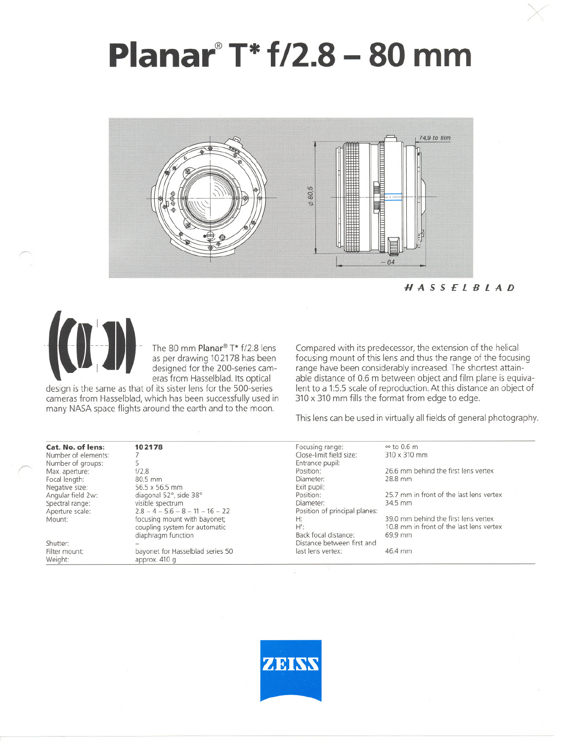# **Planar@T\*1/2.8 - 80 mm**



HASSElBlAD

 $\geqslant$ 



~

*r*

The 80 mm Planar<sup>®</sup> T\* f/2.8 lens<br>
as per drawing 10 2178 has been<br>
designed for the 200-series cam-<br>
eras from Hasselblad, its optical eras from Hasselblad. Its optical

design is the same as that of its sister lens for the 500-series cameras from Hasselblad, which has been successfully used in many NASA space flights around the earth and to the moon.

Compared with its predecessor, the extension of the helical focusing mount of this lens and thus the range of the focusing range have been considerably increased. The shortest attainable distance of 0.6 m between object and film plane is equivalent to a 1:5.5 scale of reproduction. At this distance an object of 310 x 310 mm fills the format from edge to edge.

This lens can be used in virtually all fields of general photography.

| Cat. No. of lens:        | 102178                                            | Focusing range:               | $\infty$ to 0.6 m                        |
|--------------------------|---------------------------------------------------|-------------------------------|------------------------------------------|
| Number of elements:      |                                                   | Close-limit field size:       | 310 x 310 mm                             |
| Number of groups:        |                                                   | Entrance pupil:               |                                          |
| Max. aperture:           | f/2.8                                             | Position:                     | 26.6 mm behind the first lens vertex     |
| Focal length:            | 80.5 mm                                           | Diameter:                     | 28.8 mm                                  |
| Negative size:           | 56.5 x 56.5 mm                                    | Exit pupil:                   |                                          |
| Angular field 2w:        | diagonal 52°, side 38°                            | Position:                     | 25.7 mm in front of the last lens vertex |
| Spectral range:          | visible spectrum                                  | Diameter:                     | 34.5 mm                                  |
| Aperture scale:          | $2.8 - 4 - 5.6 - 8 - 11 - 16 - 22$                | Position of principal planes: |                                          |
| Mount:                   | focusing mount with bayonet;                      | Н:                            | 39.0 mm behind the first lens vertex     |
|                          | coupling system for automatic                     | $H^{\prime}$ :                | 10.8 mm in front of the last lens vertex |
|                          | diaphragm function                                | Back focal distance:          | 69.9 mm                                  |
| Shutter:                 |                                                   | Distance between first and    |                                          |
| Filter mount:<br>Weight: | bayonet for Hasselblad series 50<br>approx. 410 g | last lens vertex:             | 46.4 mm                                  |